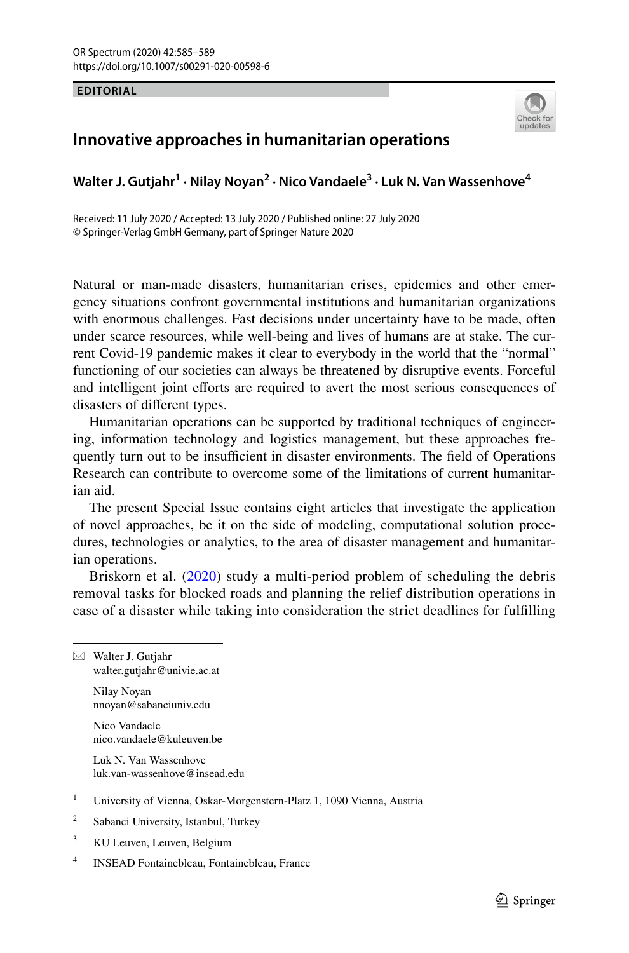## **EDITORIAL**



## **Innovative approaches in humanitarian operations**

**Walter J. Gutjahr1 · Nilay Noyan<sup>2</sup> · Nico Vandaele3 · Luk N. Van Wassenhove<sup>4</sup>**

Received: 11 July 2020 / Accepted: 13 July 2020 / Published online: 27 July 2020 © Springer-Verlag GmbH Germany, part of Springer Nature 2020

Natural or man-made disasters, humanitarian crises, epidemics and other emergency situations confront governmental institutions and humanitarian organizations with enormous challenges. Fast decisions under uncertainty have to be made, often under scarce resources, while well-being and lives of humans are at stake. The current Covid-19 pandemic makes it clear to everybody in the world that the "normal" functioning of our societies can always be threatened by disruptive events. Forceful and intelligent joint eforts are required to avert the most serious consequences of disasters of diferent types.

Humanitarian operations can be supported by traditional techniques of engineering, information technology and logistics management, but these approaches frequently turn out to be insufficient in disaster environments. The field of Operations Research can contribute to overcome some of the limitations of current humanitarian aid.

The present Special Issue contains eight articles that investigate the application of novel approaches, be it on the side of modeling, computational solution procedures, technologies or analytics, to the area of disaster management and humanitarian operations.

Briskorn et al. ([2020](#page-4-0)) study a multi-period problem of scheduling the debris removal tasks for blocked roads and planning the relief distribution operations in case of a disaster while taking into consideration the strict deadlines for fulflling

 $\boxtimes$  Walter J. Gutjahr walter.gutjahr@univie.ac.at

> Nilay Noyan nnoyan@sabanciuniv.edu

Nico Vandaele nico.vandaele@kuleuven.be

Luk N. Van Wassenhove luk.van-wassenhove@insead.edu

- <sup>1</sup> University of Vienna, Oskar-Morgenstern-Platz 1, 1090 Vienna, Austria
- <sup>2</sup> Sabanci University, Istanbul, Turkey
- <sup>3</sup> KU Leuven, Leuven, Belgium
- <sup>4</sup> INSEAD Fontainebleau, Fontainebleau, France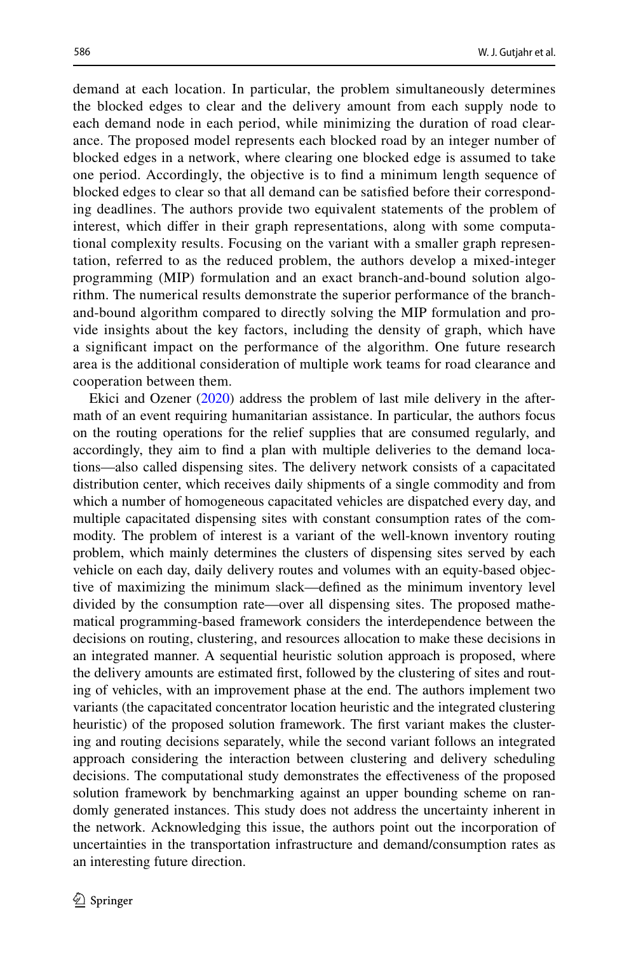demand at each location. In particular, the problem simultaneously determines the blocked edges to clear and the delivery amount from each supply node to each demand node in each period, while minimizing the duration of road clearance. The proposed model represents each blocked road by an integer number of blocked edges in a network, where clearing one blocked edge is assumed to take one period. Accordingly, the objective is to fnd a minimum length sequence of blocked edges to clear so that all demand can be satisfed before their corresponding deadlines. The authors provide two equivalent statements of the problem of interest, which difer in their graph representations, along with some computational complexity results. Focusing on the variant with a smaller graph representation, referred to as the reduced problem, the authors develop a mixed-integer programming (MIP) formulation and an exact branch-and-bound solution algorithm. The numerical results demonstrate the superior performance of the branchand-bound algorithm compared to directly solving the MIP formulation and provide insights about the key factors, including the density of graph, which have a signifcant impact on the performance of the algorithm. One future research area is the additional consideration of multiple work teams for road clearance and cooperation between them.

Ekici and Ozener ([2020\)](#page-4-1) address the problem of last mile delivery in the aftermath of an event requiring humanitarian assistance. In particular, the authors focus on the routing operations for the relief supplies that are consumed regularly, and accordingly, they aim to fnd a plan with multiple deliveries to the demand locations—also called dispensing sites. The delivery network consists of a capacitated distribution center, which receives daily shipments of a single commodity and from which a number of homogeneous capacitated vehicles are dispatched every day, and multiple capacitated dispensing sites with constant consumption rates of the commodity. The problem of interest is a variant of the well-known inventory routing problem, which mainly determines the clusters of dispensing sites served by each vehicle on each day, daily delivery routes and volumes with an equity-based objective of maximizing the minimum slack—defned as the minimum inventory level divided by the consumption rate—over all dispensing sites. The proposed mathematical programming-based framework considers the interdependence between the decisions on routing, clustering, and resources allocation to make these decisions in an integrated manner. A sequential heuristic solution approach is proposed, where the delivery amounts are estimated frst, followed by the clustering of sites and routing of vehicles, with an improvement phase at the end. The authors implement two variants (the capacitated concentrator location heuristic and the integrated clustering heuristic) of the proposed solution framework. The frst variant makes the clustering and routing decisions separately, while the second variant follows an integrated approach considering the interaction between clustering and delivery scheduling decisions. The computational study demonstrates the efectiveness of the proposed solution framework by benchmarking against an upper bounding scheme on randomly generated instances. This study does not address the uncertainty inherent in the network. Acknowledging this issue, the authors point out the incorporation of uncertainties in the transportation infrastructure and demand/consumption rates as an interesting future direction.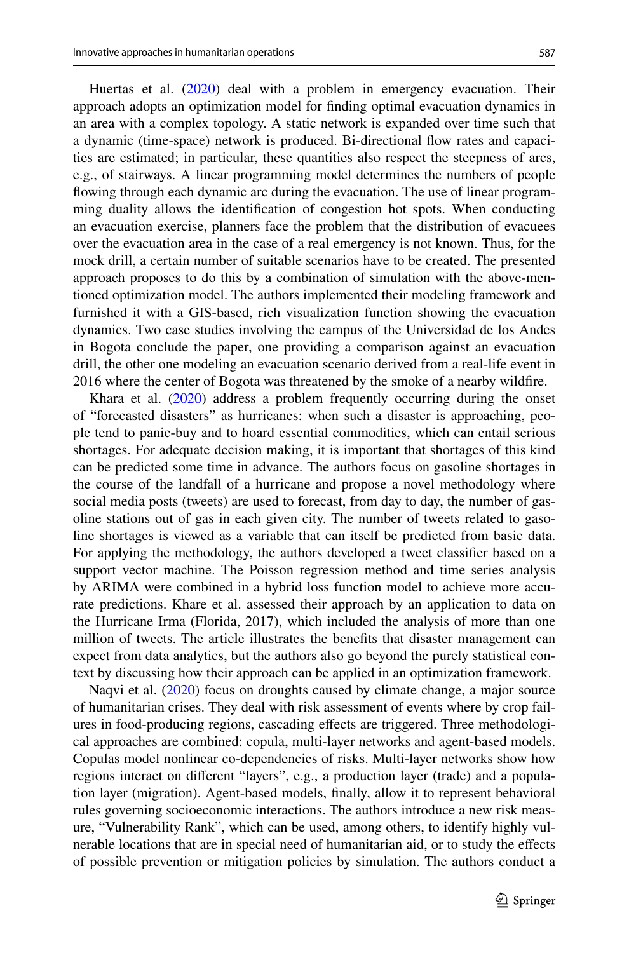Huertas et al. [\(2020](#page-4-2)) deal with a problem in emergency evacuation. Their approach adopts an optimization model for fnding optimal evacuation dynamics in an area with a complex topology. A static network is expanded over time such that a dynamic (time-space) network is produced. Bi-directional fow rates and capacities are estimated; in particular, these quantities also respect the steepness of arcs, e.g., of stairways. A linear programming model determines the numbers of people fowing through each dynamic arc during the evacuation. The use of linear programming duality allows the identifcation of congestion hot spots. When conducting an evacuation exercise, planners face the problem that the distribution of evacuees over the evacuation area in the case of a real emergency is not known. Thus, for the mock drill, a certain number of suitable scenarios have to be created. The presented approach proposes to do this by a combination of simulation with the above-mentioned optimization model. The authors implemented their modeling framework and furnished it with a GIS-based, rich visualization function showing the evacuation dynamics. Two case studies involving the campus of the Universidad de los Andes in Bogota conclude the paper, one providing a comparison against an evacuation drill, the other one modeling an evacuation scenario derived from a real-life event in 2016 where the center of Bogota was threatened by the smoke of a nearby wildfre.

Khara et al.  $(2020)$  $(2020)$  address a problem frequently occurring during the onset of "forecasted disasters" as hurricanes: when such a disaster is approaching, people tend to panic-buy and to hoard essential commodities, which can entail serious shortages. For adequate decision making, it is important that shortages of this kind can be predicted some time in advance. The authors focus on gasoline shortages in the course of the landfall of a hurricane and propose a novel methodology where social media posts (tweets) are used to forecast, from day to day, the number of gasoline stations out of gas in each given city. The number of tweets related to gasoline shortages is viewed as a variable that can itself be predicted from basic data. For applying the methodology, the authors developed a tweet classifer based on a support vector machine. The Poisson regression method and time series analysis by ARIMA were combined in a hybrid loss function model to achieve more accurate predictions. Khare et al. assessed their approach by an application to data on the Hurricane Irma (Florida, 2017), which included the analysis of more than one million of tweets. The article illustrates the benefts that disaster management can expect from data analytics, but the authors also go beyond the purely statistical context by discussing how their approach can be applied in an optimization framework.

Naqvi et al. [\(2020](#page-4-4)) focus on droughts caused by climate change, a major source of humanitarian crises. They deal with risk assessment of events where by crop failures in food-producing regions, cascading efects are triggered. Three methodological approaches are combined: copula, multi-layer networks and agent-based models. Copulas model nonlinear co-dependencies of risks. Multi-layer networks show how regions interact on diferent "layers", e.g., a production layer (trade) and a population layer (migration). Agent-based models, fnally, allow it to represent behavioral rules governing socioeconomic interactions. The authors introduce a new risk measure, "Vulnerability Rank", which can be used, among others, to identify highly vulnerable locations that are in special need of humanitarian aid, or to study the efects of possible prevention or mitigation policies by simulation. The authors conduct a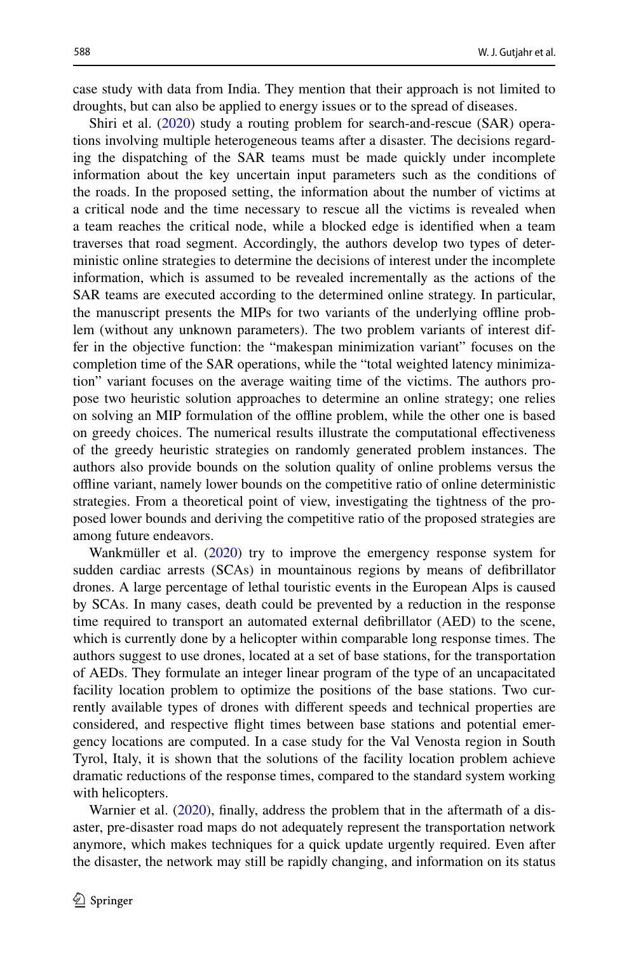case study with data from India. They mention that their approach is not limited to droughts, but can also be applied to energy issues or to the spread of diseases.

Shiri et al. [\(2020](#page-4-5)) study a routing problem for search-and-rescue (SAR) operations involving multiple heterogeneous teams after a disaster. The decisions regarding the dispatching of the SAR teams must be made quickly under incomplete information about the key uncertain input parameters such as the conditions of the roads. In the proposed setting, the information about the number of victims at a critical node and the time necessary to rescue all the victims is revealed when a team reaches the critical node, while a blocked edge is identifed when a team traverses that road segment. Accordingly, the authors develop two types of deterministic online strategies to determine the decisions of interest under the incomplete information, which is assumed to be revealed incrementally as the actions of the SAR teams are executed according to the determined online strategy. In particular, the manuscript presents the MIPs for two variants of the underlying ofine problem (without any unknown parameters). The two problem variants of interest differ in the objective function: the "makespan minimization variant" focuses on the completion time of the SAR operations, while the "total weighted latency minimization" variant focuses on the average waiting time of the victims. The authors propose two heuristic solution approaches to determine an online strategy; one relies on solving an MIP formulation of the ofine problem, while the other one is based on greedy choices. The numerical results illustrate the computational efectiveness of the greedy heuristic strategies on randomly generated problem instances. The authors also provide bounds on the solution quality of online problems versus the ofine variant, namely lower bounds on the competitive ratio of online deterministic strategies. From a theoretical point of view, investigating the tightness of the proposed lower bounds and deriving the competitive ratio of the proposed strategies are among future endeavors.

Wankmüller et al. ([2020\)](#page-4-6) try to improve the emergency response system for sudden cardiac arrests (SCAs) in mountainous regions by means of defbrillator drones. A large percentage of lethal touristic events in the European Alps is caused by SCAs. In many cases, death could be prevented by a reduction in the response time required to transport an automated external defbrillator (AED) to the scene, which is currently done by a helicopter within comparable long response times. The authors suggest to use drones, located at a set of base stations, for the transportation of AEDs. They formulate an integer linear program of the type of an uncapacitated facility location problem to optimize the positions of the base stations. Two currently available types of drones with diferent speeds and technical properties are considered, and respective fight times between base stations and potential emergency locations are computed. In a case study for the Val Venosta region in South Tyrol, Italy, it is shown that the solutions of the facility location problem achieve dramatic reductions of the response times, compared to the standard system working with helicopters.

Warnier et al. [\(2020](#page-4-7)), finally, address the problem that in the aftermath of a disaster, pre-disaster road maps do not adequately represent the transportation network anymore, which makes techniques for a quick update urgently required. Even after the disaster, the network may still be rapidly changing, and information on its status